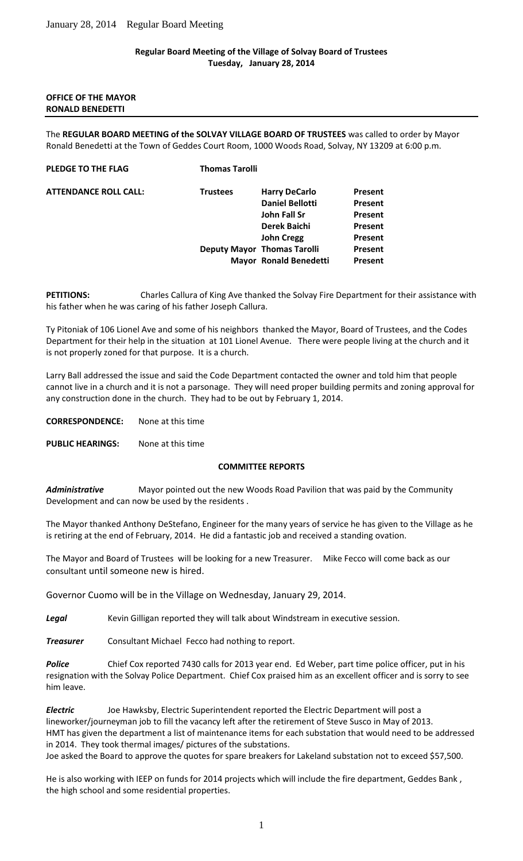### **Regular Board Meeting of the Village of Solvay Board of Trustees Tuesday, January 28, 2014**

#### **OFFICE OF THE MAYOR RONALD BENEDETTI**

The **REGULAR BOARD MEETING of the SOLVAY VILLAGE BOARD OF TRUSTEES** was called to order by Mayor Ronald Benedetti at the Town of Geddes Court Room, 1000 Woods Road, Solvay, NY 13209 at 6:00 p.m.

#### **PLEDGE TO THE FLAG Thomas Tarolli**

| <b>ATTENDANCE ROLL CALL:</b> |  |  |
|------------------------------|--|--|
|------------------------------|--|--|

| <b>ATTENDANCE ROLL CALL:</b> | <b>Trustees</b> | <b>Harry DeCarlo</b>               | Present |
|------------------------------|-----------------|------------------------------------|---------|
|                              |                 | <b>Daniel Bellotti</b>             | Present |
|                              |                 | John Fall Sr                       | Present |
|                              |                 | <b>Derek Baichi</b>                | Present |
|                              |                 | <b>John Cregg</b>                  | Present |
|                              |                 | <b>Deputy Mayor Thomas Tarolli</b> | Present |
|                              |                 | <b>Mayor Ronald Benedetti</b>      | Present |

**PETITIONS:** Charles Callura of King Ave thanked the Solvay Fire Department for their assistance with his father when he was caring of his father Joseph Callura.

Ty Pitoniak of 106 Lionel Ave and some of his neighbors thanked the Mayor, Board of Trustees, and the Codes Department for their help in the situation at 101 Lionel Avenue. There were people living at the church and it is not properly zoned for that purpose. It is a church.

Larry Ball addressed the issue and said the Code Department contacted the owner and told him that people cannot live in a church and it is not a parsonage. They will need proper building permits and zoning approval for any construction done in the church. They had to be out by February 1, 2014.

**CORRESPONDENCE:** None at this time

**PUBLIC HEARINGS:** None at this time

# **COMMITTEE REPORTS**

*Administrative* Mayor pointed out the new Woods Road Pavilion that was paid by the Community Development and can now be used by the residents .

The Mayor thanked Anthony DeStefano, Engineer for the many years of service he has given to the Village as he is retiring at the end of February, 2014. He did a fantastic job and received a standing ovation.

The Mayor and Board of Trustees will be looking for a new Treasurer. Mike Fecco will come back as our consultant until someone new is hired.

Governor Cuomo will be in the Village on Wednesday, January 29, 2014.

*Legal* Kevin Gilligan reported they will talk about Windstream in executive session.

*Treasurer* Consultant Michael Fecco had nothing to report.

**Police** Chief Cox reported 7430 calls for 2013 year end. Ed Weber, part time police officer, put in his resignation with the Solvay Police Department. Chief Cox praised him as an excellent officer and is sorry to see him leave.

*Electric* Joe Hawksby, Electric Superintendent reported the Electric Department will post a lineworker/journeyman job to fill the vacancy left after the retirement of Steve Susco in May of 2013. HMT has given the department a list of maintenance items for each substation that would need to be addressed in 2014. They took thermal images/ pictures of the substations. Joe asked the Board to approve the quotes for spare breakers for Lakeland substation not to exceed \$57,500.

He is also working with IEEP on funds for 2014 projects which will include the fire department, Geddes Bank , the high school and some residential properties.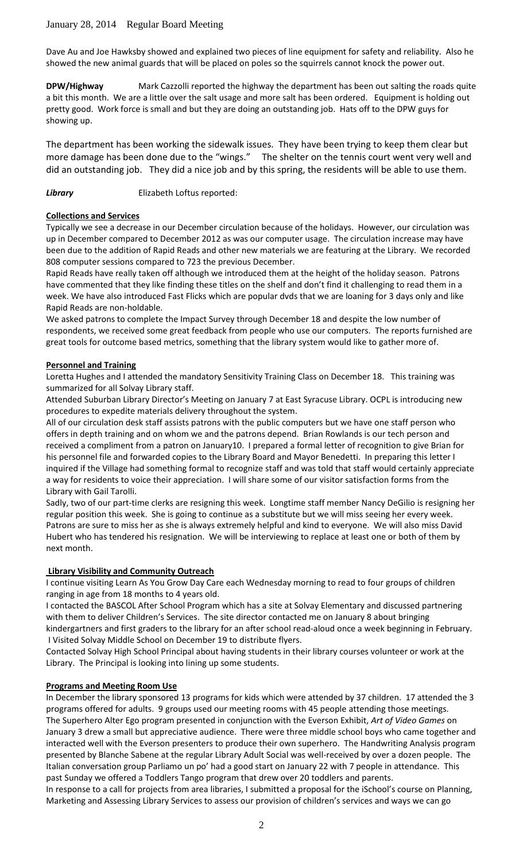Dave Au and Joe Hawksby showed and explained two pieces of line equipment for safety and reliability. Also he showed the new animal guards that will be placed on poles so the squirrels cannot knock the power out.

**DPW/Highway** Mark Cazzolli reported the highway the department has been out salting the roads quite a bit this month. We are a little over the salt usage and more salt has been ordered. Equipment is holding out pretty good. Work force is small and but they are doing an outstanding job. Hats off to the DPW guys for showing up.

The department has been working the sidewalk issues. They have been trying to keep them clear but more damage has been done due to the "wings." The shelter on the tennis court went very well and did an outstanding job. They did a nice job and by this spring, the residents will be able to use them.

**Library** Elizabeth Loftus reported:

### **Collections and Services**

Typically we see a decrease in our December circulation because of the holidays. However, our circulation was up in December compared to December 2012 as was our computer usage. The circulation increase may have been due to the addition of Rapid Reads and other new materials we are featuring at the Library. We recorded 808 computer sessions compared to 723 the previous December.

Rapid Reads have really taken off although we introduced them at the height of the holiday season. Patrons have commented that they like finding these titles on the shelf and don't find it challenging to read them in a week. We have also introduced Fast Flicks which are popular dvds that we are loaning for 3 days only and like Rapid Reads are non-holdable.

We asked patrons to complete the Impact Survey through December 18 and despite the low number of respondents, we received some great feedback from people who use our computers. The reports furnished are great tools for outcome based metrics, something that the library system would like to gather more of.

### **Personnel and Training**

Loretta Hughes and I attended the mandatory Sensitivity Training Class on December 18. This training was summarized for all Solvay Library staff.

Attended Suburban Library Director's Meeting on January 7 at East Syracuse Library. OCPL is introducing new procedures to expedite materials delivery throughout the system.

All of our circulation desk staff assists patrons with the public computers but we have one staff person who offers in depth training and on whom we and the patrons depend. Brian Rowlands is our tech person and received a compliment from a patron on January10. I prepared a formal letter of recognition to give Brian for his personnel file and forwarded copies to the Library Board and Mayor Benedetti. In preparing this letter I inquired if the Village had something formal to recognize staff and was told that staff would certainly appreciate a way for residents to voice their appreciation. I will share some of our visitor satisfaction forms from the Library with Gail Tarolli.

Sadly, two of our part-time clerks are resigning this week. Longtime staff member Nancy DeGilio is resigning her regular position this week. She is going to continue as a substitute but we will miss seeing her every week. Patrons are sure to miss her as she is always extremely helpful and kind to everyone. We will also miss David Hubert who has tendered his resignation. We will be interviewing to replace at least one or both of them by next month.

### **Library Visibility and Community Outreach**

I continue visiting Learn As You Grow Day Care each Wednesday morning to read to four groups of children ranging in age from 18 months to 4 years old.

I contacted the BASCOL After School Program which has a site at Solvay Elementary and discussed partnering with them to deliver Children's Services. The site director contacted me on January 8 about bringing kindergartners and first graders to the library for an after school read-aloud once a week beginning in February. I Visited Solvay Middle School on December 19 to distribute flyers.

Contacted Solvay High School Principal about having students in their library courses volunteer or work at the Library. The Principal is looking into lining up some students.

#### **Programs and Meeting Room Use**

In December the library sponsored 13 programs for kids which were attended by 37 children. 17 attended the 3 programs offered for adults. 9 groups used our meeting rooms with 45 people attending those meetings. The Superhero Alter Ego program presented in conjunction with the Everson Exhibit, *Art of Video Games* on January 3 drew a small but appreciative audience. There were three middle school boys who came together and interacted well with the Everson presenters to produce their own superhero. The Handwriting Analysis program presented by Blanche Sabene at the regular Library Adult Social was well-received by over a dozen people. The Italian conversation group Parliamo un po' had a good start on January 22 with 7 people in attendance. This past Sunday we offered a Toddlers Tango program that drew over 20 toddlers and parents.

In response to a call for projects from area libraries, I submitted a proposal for the iSchool's course on Planning, Marketing and Assessing Library Services to assess our provision of children's services and ways we can go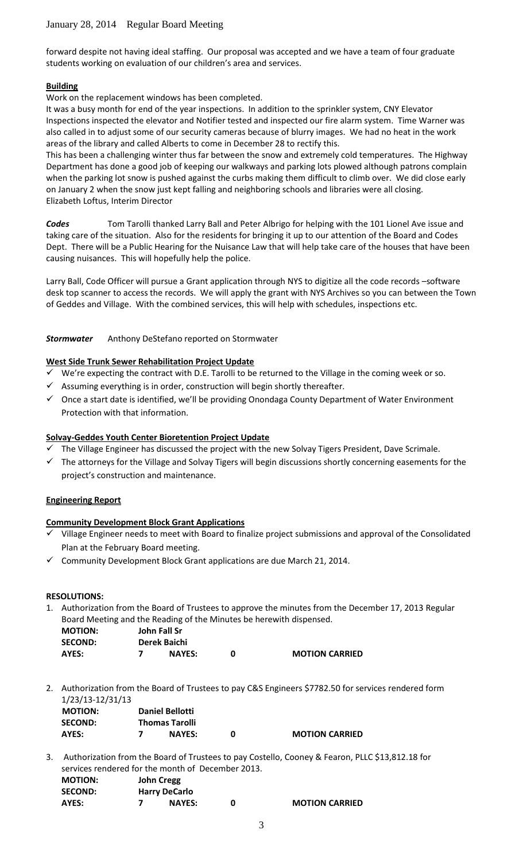forward despite not having ideal staffing. Our proposal was accepted and we have a team of four graduate students working on evaluation of our children's area and services.

### **Building**

Work on the replacement windows has been completed.

It was a busy month for end of the year inspections. In addition to the sprinkler system, CNY Elevator Inspections inspected the elevator and Notifier tested and inspected our fire alarm system. Time Warner was also called in to adjust some of our security cameras because of blurry images. We had no heat in the work areas of the library and called Alberts to come in December 28 to rectify this.

This has been a challenging winter thus far between the snow and extremely cold temperatures. The Highway Department has done a good job of keeping our walkways and parking lots plowed although patrons complain when the parking lot snow is pushed against the curbs making them difficult to climb over. We did close early on January 2 when the snow just kept falling and neighboring schools and libraries were all closing. Elizabeth Loftus, Interim Director

*Codes* Tom Tarolli thanked Larry Ball and Peter Albrigo for helping with the 101 Lionel Ave issue and taking care of the situation. Also for the residents for bringing it up to our attention of the Board and Codes Dept. There will be a Public Hearing for the Nuisance Law that will help take care of the houses that have been causing nuisances. This will hopefully help the police.

Larry Ball, Code Officer will pursue a Grant application through NYS to digitize all the code records -software desk top scanner to access the records. We will apply the grant with NYS Archives so you can between the Town of Geddes and Village. With the combined services, this will help with schedules, inspections etc.

### *Stormwater* Anthony DeStefano reported on Stormwater

# **West Side Trunk Sewer Rehabilitation Project Update**

- We're expecting the contract with D.E. Tarolli to be returned to the Village in the coming week or so.
- $\checkmark$  Assuming everything is in order, construction will begin shortly thereafter.
- $\checkmark$  Once a start date is identified, we'll be providing Onondaga County Department of Water Environment Protection with that information.

# **Solvay-Geddes Youth Center Bioretention Project Update**

- The Village Engineer has discussed the project with the new Solvay Tigers President, Dave Scrimale.
- $\checkmark$  The attorneys for the Village and Solvay Tigers will begin discussions shortly concerning easements for the project's construction and maintenance.

# **Engineering Report**

# **Community Development Block Grant Applications**

- Village Engineer needs to meet with Board to finalize project submissions and approval of the Consolidated Plan at the February Board meeting.
- $\checkmark$  Community Development Block Grant applications are due March 21, 2014.

#### **RESOLUTIONS:**

1. Authorization from the Board of Trustees to approve the minutes from the December 17, 2013 Regular Board Meeting and the Reading of the Minutes be herewith dispensed.

| <b>MOTION:</b> | John Fall Sr  |                       |
|----------------|---------------|-----------------------|
| <b>SECOND:</b> | Derek Baichi  |                       |
| AYES:          | <b>NAYES:</b> | <b>MOTION CARRIED</b> |

2. Authorization from the Board of Trustees to pay C&S Engineers \$7782.50 for services rendered form 1/23/13-12/31/13

| <b>MOTION:</b> | <b>Daniel Bellotti</b> |                       |
|----------------|------------------------|-----------------------|
| <b>SECOND:</b> | <b>Thomas Tarolli</b>  |                       |
| AYES:          | <b>NAYES:</b>          | <b>MOTION CARRIED</b> |

3. Authorization from the Board of Trustees to pay Costello, Cooney & Fearon, PLLC \$13,812.18 for services rendered for the month of December 2013. **MOTION: John Cregg**

| <b>SECOND:</b> | <b>Harry DeCarlo</b> |                       |
|----------------|----------------------|-----------------------|
| AYES:          | <b>NAYES:</b>        | <b>MOTION CARRIED</b> |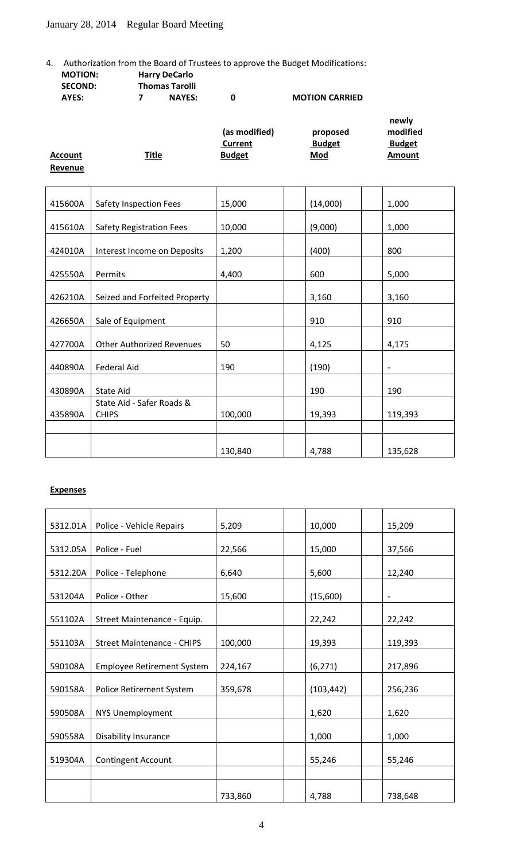4. Authorization from the Board of Trustees to approve the Budget Modifications:<br> **MOTION:** Harry DeCarlo **Harry DeCarlo** 

| <b>SECOND:</b> | <b>Thomas Tarolli</b> |   |                       |       |
|----------------|-----------------------|---|-----------------------|-------|
| AYES:          | <b>NAYES:</b>         | n | <b>MOTION CARRIED</b> |       |
|                |                       |   |                       | newly |

|                |              | (as modified) | proposed      | modified      |
|----------------|--------------|---------------|---------------|---------------|
|                |              | Current       | <b>Budget</b> | <b>Budget</b> |
| <b>Account</b> | <u>Title</u> | <b>Budget</b> | <u>Mod</u>    | Amount        |
| Revenue        |              |               |               |               |

| 415600A | <b>Safety Inspection Fees</b>             | 15,000  | (14,000) | 1,000                    |
|---------|-------------------------------------------|---------|----------|--------------------------|
| 415610A | <b>Safety Registration Fees</b>           | 10,000  | (9,000)  | 1,000                    |
| 424010A | Interest Income on Deposits               | 1,200   | (400)    | 800                      |
| 425550A | Permits                                   | 4,400   | 600      | 5,000                    |
| 426210A | Seized and Forfeited Property             |         | 3,160    | 3,160                    |
| 426650A | Sale of Equipment                         |         | 910      | 910                      |
| 427700A | <b>Other Authorized Revenues</b>          | 50      | 4,125    | 4,175                    |
| 440890A | <b>Federal Aid</b>                        | 190     | (190)    | $\overline{\phantom{0}}$ |
| 430890A | State Aid                                 |         | 190      | 190                      |
| 435890A | State Aid - Safer Roads &<br><b>CHIPS</b> | 100,000 | 19,393   | 119,393                  |
|         |                                           |         |          |                          |
|         |                                           | 130,840 | 4,788    | 135,628                  |

#### **Expenses**

| 5312.01A | Police - Vehicle Repairs          | 5,209   | 10,000     | 15,209            |
|----------|-----------------------------------|---------|------------|-------------------|
| 5312.05A | Police - Fuel                     | 22,566  | 15,000     | 37,566            |
| 5312.20A | Police - Telephone                | 6,640   | 5,600      | 12,240            |
| 531204A  | Police - Other                    | 15,600  | (15,600)   | $\qquad \qquad -$ |
| 551102A  | Street Maintenance - Equip.       |         | 22,242     | 22,242            |
| 551103A  | <b>Street Maintenance - CHIPS</b> | 100,000 | 19,393     | 119,393           |
| 590108A  | <b>Employee Retirement System</b> | 224,167 | (6, 271)   | 217,896           |
| 590158A  | Police Retirement System          | 359,678 | (103, 442) | 256,236           |
| 590508A  | NYS Unemployment                  |         | 1,620      | 1,620             |
| 590558A  | Disability Insurance              |         | 1,000      | 1,000             |
| 519304A  | <b>Contingent Account</b>         |         | 55,246     | 55,246            |
|          |                                   |         |            |                   |
|          |                                   | 733,860 | 4,788      | 738,648           |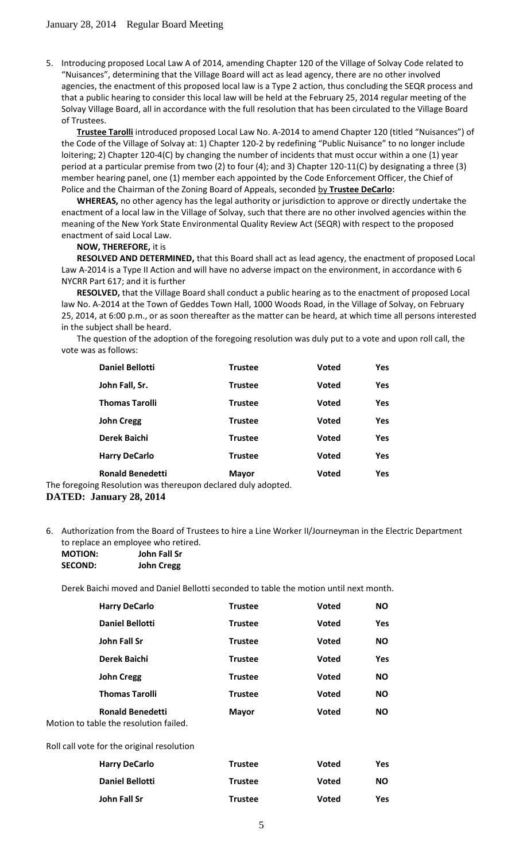5. Introducing proposed Local Law A of 2014, amending Chapter 120 of the Village of Solvay Code related to "Nuisances", determining that the Village Board will act as lead agency, there are no other involved agencies, the enactment of this proposed local law is a Type 2 action, thus concluding the SEQR process and that a public hearing to consider this local law will be held at the February 25, 2014 regular meeting of the Solvay Village Board, all in accordance with the full resolution that has been circulated to the Village Board of Trustees.

**Trustee Tarolli** introduced proposed Local Law No. A-2014 to amend Chapter 120 (titled "Nuisances") of the Code of the Village of Solvay at: 1) Chapter 120-2 by redefining "Public Nuisance" to no longer include loitering; 2) Chapter 120-4(C) by changing the number of incidents that must occur within a one (1) year period at a particular premise from two (2) to four (4); and 3) Chapter 120-11(C) by designating a three (3) member hearing panel, one (1) member each appointed by the Code Enforcement Officer, the Chief of Police and the Chairman of the Zoning Board of Appeals, seconded by **Trustee DeCarlo:**

**WHEREAS,** no other agency has the legal authority or jurisdiction to approve or directly undertake the enactment of a local law in the Village of Solvay, such that there are no other involved agencies within the meaning of the New York State Environmental Quality Review Act (SEQR) with respect to the proposed enactment of said Local Law.

#### **NOW, THEREFORE,** it is

**RESOLVED AND DETERMINED,** that this Board shall act as lead agency, the enactment of proposed Local Law A-2014 is a Type II Action and will have no adverse impact on the environment, in accordance with 6 NYCRR Part 617; and it is further

**RESOLVED,** that the Village Board shall conduct a public hearing as to the enactment of proposed Local law No. A-2014 at the Town of Geddes Town Hall, 1000 Woods Road, in the Village of Solvay, on February 25, 2014, at 6:00 p.m., or as soon thereafter as the matter can be heard, at which time all persons interested in the subject shall be heard.

The question of the adoption of the foregoing resolution was duly put to a vote and upon roll call, the vote was as follows:

| <b>Daniel Bellotti</b>  | <b>Trustee</b> | <b>Voted</b> | Yes        |
|-------------------------|----------------|--------------|------------|
| John Fall, Sr.          | <b>Trustee</b> | <b>Voted</b> | Yes        |
| <b>Thomas Tarolli</b>   | <b>Trustee</b> | <b>Voted</b> | Yes        |
| <b>John Cregg</b>       | <b>Trustee</b> | <b>Voted</b> | Yes        |
| <b>Derek Baichi</b>     | <b>Trustee</b> | <b>Voted</b> | <b>Yes</b> |
| <b>Harry DeCarlo</b>    | <b>Trustee</b> | <b>Voted</b> | <b>Yes</b> |
| <b>Ronald Benedetti</b> | <b>Mayor</b>   | Voted        | Yes        |

The foregoing Resolution was thereupon declared duly adopted. **DATED: January 28, 2014**

6. Authorization from the Board of Trustees to hire a Line Worker II/Journeyman in the Electric Department to replace an employee who retired.

| <b>MOTION:</b> | John Fall Sr      |
|----------------|-------------------|
| <b>SECOND:</b> | <b>John Cregg</b> |

Derek Baichi moved and Daniel Bellotti seconded to table the motion until next month.

| <b>Harry DeCarlo</b>                                              | <b>Trustee</b> | <b>Voted</b> | <b>NO</b>  |
|-------------------------------------------------------------------|----------------|--------------|------------|
| <b>Daniel Bellotti</b>                                            | <b>Trustee</b> | <b>Voted</b> | <b>Yes</b> |
| John Fall Sr                                                      | <b>Trustee</b> | <b>Voted</b> | <b>NO</b>  |
| Derek Baichi                                                      | <b>Trustee</b> | Voted        | Yes        |
| <b>John Cregg</b>                                                 | <b>Trustee</b> | <b>Voted</b> | <b>NO</b>  |
| <b>Thomas Tarolli</b>                                             | <b>Trustee</b> | <b>Voted</b> | <b>NO</b>  |
| <b>Ronald Benedetti</b><br>Motion to table the resolution failed. | <b>Mayor</b>   | <b>Voted</b> | <b>NO</b>  |

Roll call vote for the original resolution

| <b>Harry DeCarlo</b>   | <b>Trustee</b> | Voted        | Yes |
|------------------------|----------------|--------------|-----|
| <b>Daniel Bellotti</b> | <b>Trustee</b> | Voted        | NO. |
| John Fall Sr           | <b>Trustee</b> | <b>Voted</b> | Yes |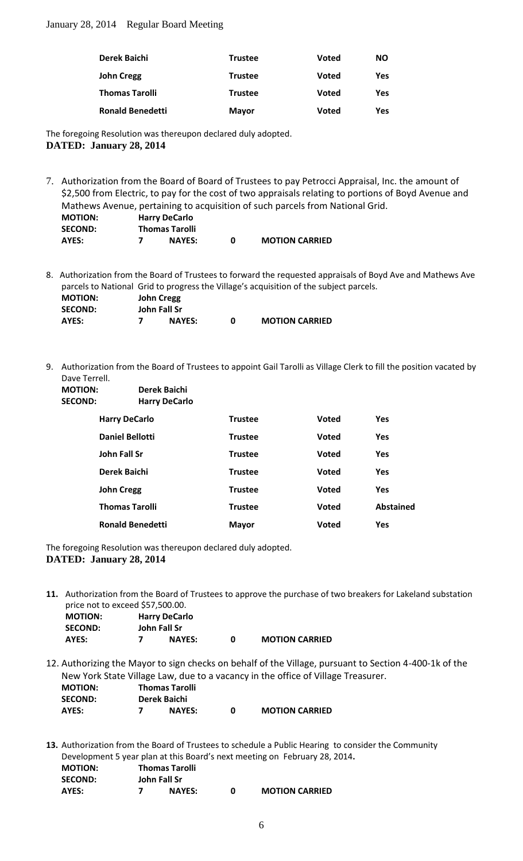| Derek Baichi            | <b>Trustee</b> | Voted        | <b>NO</b> |
|-------------------------|----------------|--------------|-----------|
| <b>John Cregg</b>       | <b>Trustee</b> | <b>Voted</b> | Yes       |
| <b>Thomas Tarolli</b>   | <b>Trustee</b> | <b>Voted</b> | Yes       |
| <b>Ronald Benedetti</b> | <b>Mayor</b>   | <b>Voted</b> | Yes       |

The foregoing Resolution was thereupon declared duly adopted. **DATED: January 28, 2014**

7. Authorization from the Board of Board of Trustees to pay Petrocci Appraisal, Inc. the amount of \$2,500 from Electric, to pay for the cost of two appraisals relating to portions of Boyd Avenue and Mathews Avenue, pertaining to acquisition of such parcels from National Grid. **MOTION: Harry DeCarlo**

| <b>SECOND:</b> | <b>Thomas Tarolli</b> |                       |
|----------------|-----------------------|-----------------------|
| AYES:          | <b>NAYES:</b>         | <b>MOTION CARRIED</b> |

8. Authorization from the Board of Trustees to forward the requested appraisals of Boyd Ave and Mathews Ave parcels to National Grid to progress the Village's acquisition of the subject parcels.

| <b>MOTION:</b> | <b>John Cregg</b> |               |                       |
|----------------|-------------------|---------------|-----------------------|
| <b>SECOND:</b> | John Fall Sr      |               |                       |
| AYES:          |                   | <b>NAYES:</b> | <b>MOTION CARRIED</b> |

9. Authorization from the Board of Trustees to appoint Gail Tarolli as Village Clerk to fill the position vacated by Dave Terrell.

| <b>MOTION:</b><br><b>SECOND:</b> |                         | Derek Baichi<br><b>Harry DeCarlo</b> |                |              |                  |
|----------------------------------|-------------------------|--------------------------------------|----------------|--------------|------------------|
|                                  | <b>Harry DeCarlo</b>    |                                      | <b>Trustee</b> | <b>Voted</b> | <b>Yes</b>       |
|                                  | <b>Daniel Bellotti</b>  |                                      | <b>Trustee</b> | <b>Voted</b> | <b>Yes</b>       |
|                                  | <b>John Fall Sr</b>     |                                      | <b>Trustee</b> | <b>Voted</b> | <b>Yes</b>       |
|                                  | Derek Baichi            |                                      | <b>Trustee</b> | <b>Voted</b> | <b>Yes</b>       |
|                                  | <b>John Cregg</b>       |                                      | <b>Trustee</b> | <b>Voted</b> | <b>Yes</b>       |
|                                  | <b>Thomas Tarolli</b>   |                                      | <b>Trustee</b> | <b>Voted</b> | <b>Abstained</b> |
|                                  | <b>Ronald Benedetti</b> |                                      | <b>Mayor</b>   | <b>Voted</b> | Yes              |

The foregoing Resolution was thereupon declared duly adopted. **DATED: January 28, 2014**

**11.** Authorization from the Board of Trustees to approve the purchase of two breakers for Lakeland substation price not to exceed \$57,500.00.

| <b>MOTION:</b> | <b>Harry DeCarlo</b> |   |                       |
|----------------|----------------------|---|-----------------------|
| <b>SECOND:</b> | John Fall Sr         |   |                       |
| AYES:          | <b>NAYES:</b>        | n | <b>MOTION CARRIED</b> |

12. Authorizing the Mayor to sign checks on behalf of the Village, pursuant to Section 4-400-1k of the New York State Village Law, due to a vacancy in the office of Village Treasurer. **MOTION: Thomas Tarolli SECOND: Derek Baichi AYES: 7 NAYES: 0 MOTION CARRIED**

**13.** Authorization from the Board of Trustees to schedule a Public Hearing to consider the Community Development 5 year plan at this Board's next meeting on February 28, 2014**.**

| <b>MOTION:</b> |              | <b>Thomas Tarolli</b> |                       |
|----------------|--------------|-----------------------|-----------------------|
| <b>SECOND:</b> | John Fall Sr |                       |                       |
| AYES:          |              | <b>NAYES:</b>         | <b>MOTION CARRIED</b> |